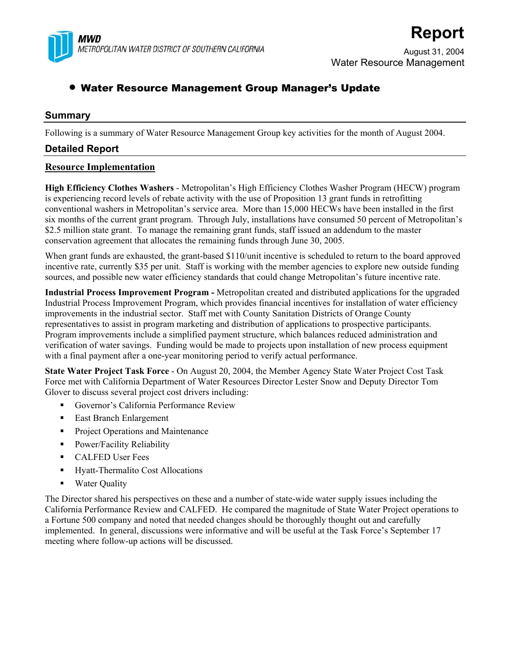

# **Report**

August 31, 2004 Water Resource Management

## • Water Resource Management Group Manager's Update

### **Summary**

Following is a summary of Water Resource Management Group key activities for the month of August 2004.

### **Detailed Report**

#### **Resource Implementation**

**High Efficiency Clothes Washers** - Metropolitan's High Efficiency Clothes Washer Program (HECW) program is experiencing record levels of rebate activity with the use of Proposition 13 grant funds in retrofitting conventional washers in Metropolitan's service area. More than 15,000 HECWs have been installed in the first six months of the current grant program. Through July, installations have consumed 50 percent of Metropolitan's \$2.5 million state grant. To manage the remaining grant funds, staff issued an addendum to the master conservation agreement that allocates the remaining funds through June 30, 2005.

When grant funds are exhausted, the grant-based \$110/unit incentive is scheduled to return to the board approved incentive rate, currently \$35 per unit. Staff is working with the member agencies to explore new outside funding sources, and possible new water efficiency standards that could change Metropolitan's future incentive rate.

**Industrial Process Improvement Program -** Metropolitan created and distributed applications for the upgraded Industrial Process Improvement Program, which provides financial incentives for installation of water efficiency improvements in the industrial sector. Staff met with County Sanitation Districts of Orange County representatives to assist in program marketing and distribution of applications to prospective participants. Program improvements include a simplified payment structure, which balances reduced administration and verification of water savings. Funding would be made to projects upon installation of new process equipment with a final payment after a one-year monitoring period to verify actual performance.

**State Water Project Task Force** - On August 20, 2004, the Member Agency State Water Project Cost Task Force met with California Department of Water Resources Director Lester Snow and Deputy Director Tom Glover to discuss several project cost drivers including:

- Governor's California Performance Review
- East Branch Enlargement
- **Project Operations and Maintenance**
- **Power/Facility Reliability**
- CALFED User Fees
- Hyatt-Thermalito Cost Allocations
- **Water Quality**

The Director shared his perspectives on these and a number of state-wide water supply issues including the California Performance Review and CALFED. He compared the magnitude of State Water Project operations to a Fortune 500 company and noted that needed changes should be thoroughly thought out and carefully implemented. In general, discussions were informative and will be useful at the Task Force's September 17 meeting where follow-up actions will be discussed.